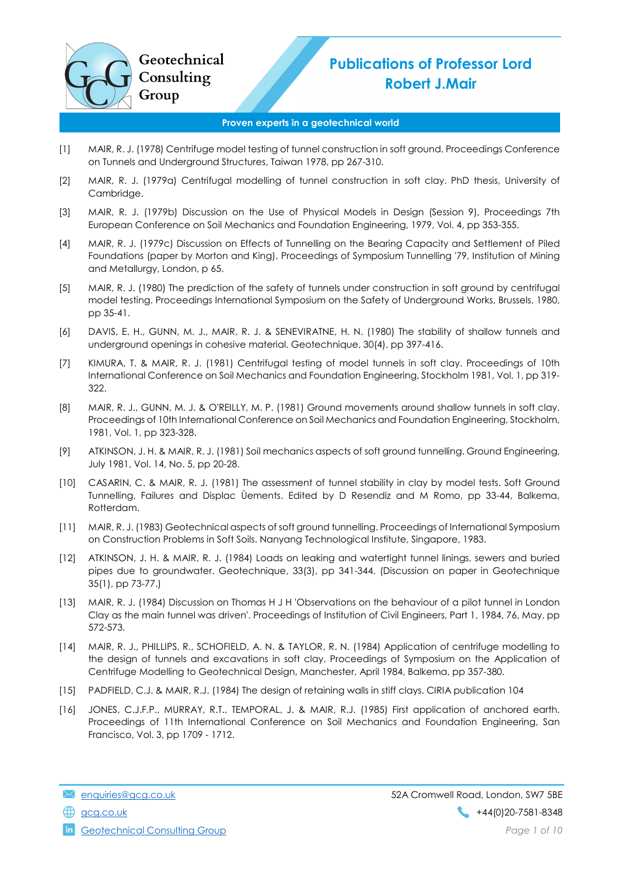## Publications of Professor Lord Robert J.Mair

## Proven experts in a geotechnical world

- [1] MAIR, R. J. (1978) Centrifuge model testing of tunnel construction in soft ground. Proceedings Conference on Tunnels and Underground Structures, Taiwan 1978, pp 267-310.
- [2] MAIR, R. J. (1979a) Centrifugal modelling of tunnel construction in soft clay. PhD thesis, University of Cambridge.
- [3] MAIR, R. J. (1979b) Discussion on the Use of Physical Models in Design (Session 9), Proceedings 7th European Conference on Soil Mechanics and Foundation Engineering, 1979, Vol. 4, pp 353-355.
- [4] MAIR, R. J. (1979c) Discussion on Effects of Tunnelling on the Bearing Capacity and Settlement of Piled Foundations (paper by Morton and King). Proceedings of Symposium Tunnelling '79, Institution of Mining and Metallurgy, London, p 65.
- [5] MAIR, R. J. (1980) The prediction of the safety of tunnels under construction in soft ground by centrifugal model testing. Proceedings International Symposium on the Safety of Underground Works, Brussels, 1980, pp 35-41.
- [6] DAVIS, E. H., GUNN, M. J., MAIR, R. J. & SENEVIRATNE, H. N. (1980) The stability of shallow tunnels and underground openings in cohesive material. Geotechnique, 30(4), pp 397-416.
- [7] KIMURA, T. & MAIR, R. J. (1981) Centrifugal testing of model tunnels in soft clay. Proceedings of 10th International Conference on Soil Mechanics and Foundation Engineering, Stockholm 1981, Vol. 1, pp 319- 322.
- [8] MAIR, R. J., GUNN, M. J. & O'REILLY, M. P. (1981) Ground movements around shallow tunnels in soft clay. Proceedings of 10th International Conference on Soil Mechanics and Foundation Engineering, Stockholm, 1981, Vol. 1, pp 323-328.
- [9] ATKINSON, J. H. & MAIR, R. J. (1981) Soil mechanics aspects of soft ground tunnelling. Ground Engineering, July 1981, Vol. 14, No. 5, pp 20-28.
- [10] CASARIN, C. & MAIR, R. J. (1981) The assessment of tunnel stability in clay by model tests. Soft Ground Tunnelling, Failures and Displac Ùements. Edited by D Resendiz and M Romo, pp 33-44, Balkema, Rotterdam.
- [11] MAIR, R. J. (1983) Geotechnical aspects of soft ground tunnelling. Proceedings of International Symposium on Construction Problems in Soft Soils. Nanyang Technological Institute, Singapore, 1983.
- [12] ATKINSON, J. H. & MAIR, R. J. (1984) Loads on leaking and watertight tunnel linings, sewers and buried pipes due to groundwater. Geotechnique, 33(3), pp 341-344. (Discussion on paper in Geotechnique 35(1), pp 73-77.)
- [13] MAIR, R. J. (1984) Discussion on Thomas H J H 'Observations on the behaviour of a pilot tunnel in London Clay as the main tunnel was driven'. Proceedings of Institution of Civil Engineers, Part 1, 1984, 76, May, pp 572-573.
- [14] MAIR, R. J., PHILLIPS, R., SCHOFIELD, A. N. & TAYLOR, R. N. (1984) Application of centrifuge modelling to the design of tunnels and excavations in soft clay. Proceedings of Symposium on the Application of Centrifuge Modelling to Geotechnical Design, Manchester, April 1984, Balkema, pp 357-380.
- [15] PADFIELD, C.J. & MAIR, R.J. (1984) The design of retaining walls in stiff clays. CIRIA publication 104
- [16] JONES, C.J.F.P., MURRAY, R.T., TEMPORAL, J. & MAIR, R.J. (1985) First application of anchored earth. Proceedings of 11th International Conference on Soil Mechanics and Foundation Engineering, San Francisco, Vol. 3, pp 1709 - 1712.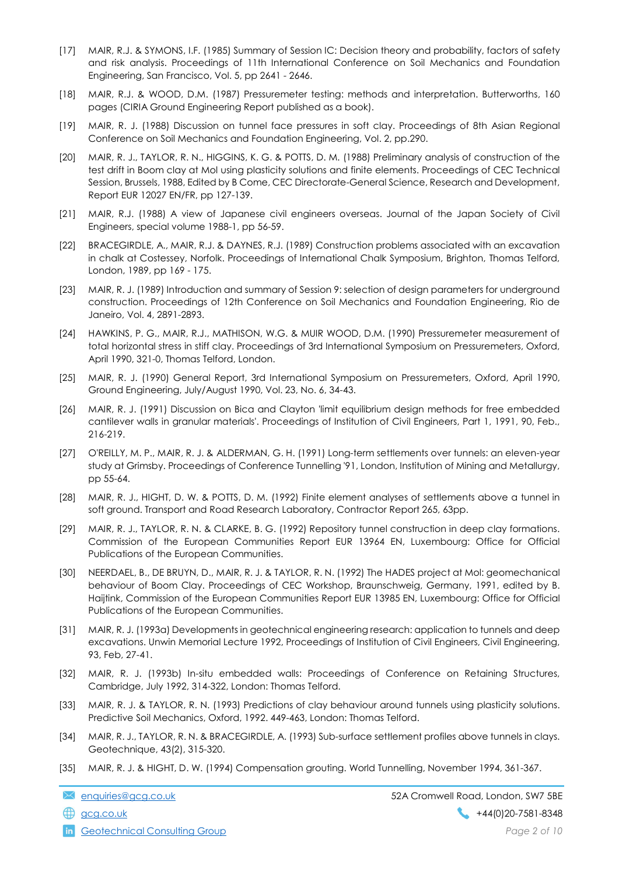- [17] MAIR, R.J. & SYMONS, I.F. (1985) Summary of Session IC: Decision theory and probability, factors of safety and risk analysis. Proceedings of 11th International Conference on Soil Mechanics and Foundation Engineering, San Francisco, Vol. 5, pp 2641 - 2646.
- [18] MAIR, R.J. & WOOD, D.M. (1987) Pressuremeter testing: methods and interpretation. Butterworths, 160 pages (CIRIA Ground Engineering Report published as a book).
- [19] MAIR, R. J. (1988) Discussion on tunnel face pressures in soft clay. Proceedings of 8th Asian Regional Conference on Soil Mechanics and Foundation Engineering, Vol. 2, pp.290.
- [20] MAIR, R. J., TAYLOR, R. N., HIGGINS, K. G. & POTTS, D. M. (1988) Preliminary analysis of construction of the test drift in Boom clay at Mol using plasticity solutions and finite elements. Proceedings of CEC Technical Session, Brussels, 1988, Edited by B Come, CEC Directorate-General Science, Research and Development, Report EUR 12027 EN/FR, pp 127-139.
- [21] MAIR, R.J. (1988) A view of Japanese civil engineers overseas. Journal of the Japan Society of Civil Engineers, special volume 1988-1, pp 56-59.
- [22] BRACEGIRDLE, A., MAIR, R.J. & DAYNES, R.J. (1989) Construction problems associated with an excavation in chalk at Costessey, Norfolk. Proceedings of International Chalk Symposium, Brighton, Thomas Telford, London, 1989, pp 169 - 175.
- [23] MAIR, R. J. (1989) Introduction and summary of Session 9: selection of design parameters for underground construction. Proceedings of 12th Conference on Soil Mechanics and Foundation Engineering, Rio de Janeiro, Vol. 4, 2891-2893.
- [24] HAWKINS, P. G., MAIR, R.J., MATHISON, W.G. & MUIR WOOD, D.M. (1990) Pressuremeter measurement of total horizontal stress in stiff clay. Proceedings of 3rd International Symposium on Pressuremeters, Oxford, April 1990, 321-0, Thomas Telford, London.
- [25] MAIR, R. J. (1990) General Report, 3rd International Symposium on Pressuremeters, Oxford, April 1990, Ground Engineering, July/August 1990, Vol. 23, No. 6, 34-43.
- [26] MAIR, R. J. (1991) Discussion on Bica and Clayton 'limit equilibrium design methods for free embedded cantilever walls in granular materials'. Proceedings of Institution of Civil Engineers, Part 1, 1991, 90, Feb., 216-219.
- [27] O'REILLY, M. P., MAIR, R. J. & ALDERMAN, G. H. (1991) Long-term settlements over tunnels: an eleven-year study at Grimsby. Proceedings of Conference Tunnelling '91, London, Institution of Mining and Metallurgy, pp 55-64.
- [28] MAIR, R. J., HIGHT, D. W. & POTTS, D. M. (1992) Finite element analyses of settlements above a tunnel in soft ground. Transport and Road Research Laboratory, Contractor Report 265, 63pp.
- [29] MAIR, R. J., TAYLOR, R. N. & CLARKE, B. G. (1992) Repository tunnel construction in deep clay formations. Commission of the European Communities Report EUR 13964 EN, Luxembourg: Office for Official Publications of the European Communities.
- [30] NEERDAEL, B., DE BRUYN, D., MAIR, R. J. & TAYLOR, R. N. (1992) The HADES project at Mol: geomechanical behaviour of Boom Clay. Proceedings of CEC Workshop, Braunschweig, Germany, 1991, edited by B. Haijtink, Commission of the European Communities Report EUR 13985 EN, Luxembourg: Office for Official Publications of the European Communities.
- [31] MAIR, R. J. (1993a) Developments in geotechnical engineering research: application to tunnels and deep excavations. Unwin Memorial Lecture 1992, Proceedings of Institution of Civil Engineers, Civil Engineering, 93, Feb, 27-41.
- [32] MAIR, R. J. (1993b) In-situ embedded walls: Proceedings of Conference on Retaining Structures, Cambridge, July 1992, 314-322, London: Thomas Telford.
- [33] MAIR, R. J. & TAYLOR, R. N. (1993) Predictions of clay behaviour around tunnels using plasticity solutions. Predictive Soil Mechanics, Oxford, 1992. 449-463, London: Thomas Telford.
- [34] MAIR, R. J., TAYLOR, R. N. & BRACEGIRDLE, A. (1993) Sub-surface settlement profiles above tunnels in clays. Geotechnique, 43(2), 315-320.
- [35] MAIR, R. J. & HIGHT, D. W. (1994) Compensation grouting. World Tunnelling, November 1994, 361-367.

**in** Geotechnical Consulting Group **Page 2 of 10** and  $P$  and  $P$  and  $P$  and  $P$  and  $P$  and  $P$  and  $P$  and  $P$  and  $P$  and  $P$  and  $P$  and  $P$  and  $P$  and  $P$  and  $P$  and  $P$  and  $P$  and  $P$  and  $P$  and  $P$  and  $P$  and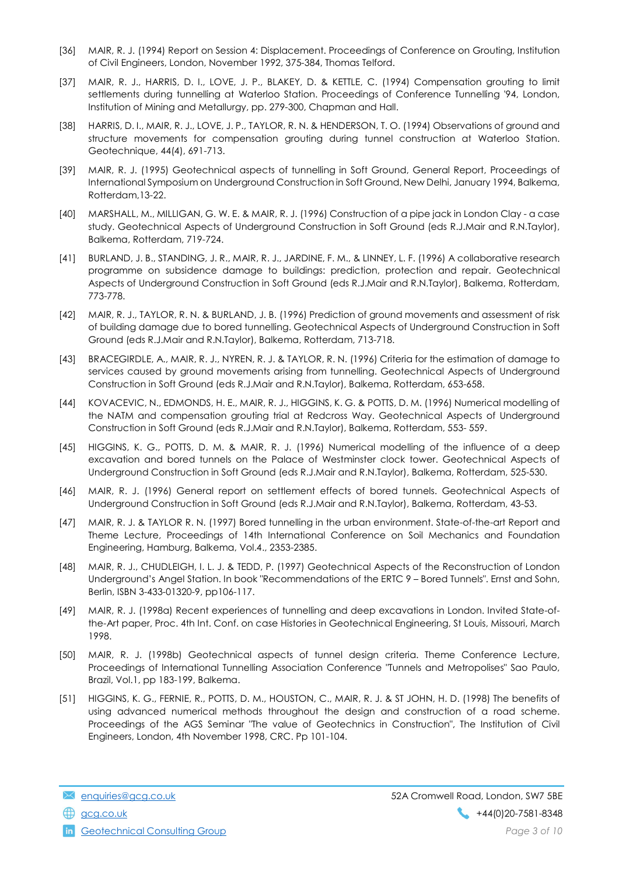- [36] MAIR, R. J. (1994) Report on Session 4: Displacement. Proceedings of Conference on Grouting, Institution of Civil Engineers, London, November 1992, 375-384, Thomas Telford.
- [37] MAIR, R. J., HARRIS, D. I., LOVE, J. P., BLAKEY, D. & KETTLE, C. (1994) Compensation grouting to limit settlements during tunnelling at Waterloo Station. Proceedings of Conference Tunnelling '94, London, Institution of Mining and Metallurgy, pp. 279-300, Chapman and Hall.
- [38] HARRIS, D. I., MAIR, R. J., LOVE, J. P., TAYLOR, R. N. & HENDERSON, T. O. (1994) Observations of ground and structure movements for compensation grouting during tunnel construction at Waterloo Station. Geotechnique, 44(4), 691-713.
- [39] MAIR, R. J. (1995) Geotechnical aspects of tunnelling in Soft Ground, General Report, Proceedings of International Symposium on Underground Construction in Soft Ground, New Delhi, January 1994, Balkema, Rotterdam,13-22.
- [40] MARSHALL, M., MILLIGAN, G. W. E. & MAIR, R. J. (1996) Construction of a pipe jack in London Clay a case study. Geotechnical Aspects of Underground Construction in Soft Ground (eds R.J.Mair and R.N.Taylor), Balkema, Rotterdam, 719-724.
- [41] BURLAND, J. B., STANDING, J. R., MAIR, R. J., JARDINE, F. M., & LINNEY, L. F. (1996) A collaborative research programme on subsidence damage to buildings: prediction, protection and repair. Geotechnical Aspects of Underground Construction in Soft Ground (eds R.J.Mair and R.N.Taylor), Balkema, Rotterdam, 773-778.
- [42] MAIR, R. J., TAYLOR, R. N. & BURLAND, J. B. (1996) Prediction of ground movements and assessment of risk of building damage due to bored tunnelling. Geotechnical Aspects of Underground Construction in Soft Ground (eds R.J.Mair and R.N.Taylor), Balkema, Rotterdam, 713-718.
- [43] BRACEGIRDLE, A., MAIR, R. J., NYREN, R. J. & TAYLOR, R. N. (1996) Criteria for the estimation of damage to services caused by ground movements arising from tunnelling. Geotechnical Aspects of Underground Construction in Soft Ground (eds R.J.Mair and R.N.Taylor), Balkema, Rotterdam, 653-658.
- [44] KOVACEVIC, N., EDMONDS, H. E., MAIR, R. J., HIGGINS, K. G. & POTTS, D. M. (1996) Numerical modelling of the NATM and compensation grouting trial at Redcross Way. Geotechnical Aspects of Underground Construction in Soft Ground (eds R.J.Mair and R.N.Taylor), Balkema, Rotterdam, 553- 559.
- [45] HIGGINS, K. G., POTTS, D. M. & MAIR, R. J. (1996) Numerical modelling of the influence of a deep excavation and bored tunnels on the Palace of Westminster clock tower. Geotechnical Aspects of Underground Construction in Soft Ground (eds R.J.Mair and R.N.Taylor), Balkema, Rotterdam, 525-530.
- [46] MAIR, R. J. (1996) General report on settlement effects of bored tunnels. Geotechnical Aspects of Underground Construction in Soft Ground (eds R.J.Mair and R.N.Taylor), Balkema, Rotterdam, 43-53.
- [47] MAIR, R. J. & TAYLOR R. N. (1997) Bored tunnelling in the urban environment. State-of-the-art Report and Theme Lecture, Proceedings of 14th International Conference on Soil Mechanics and Foundation Engineering, Hamburg, Balkema, Vol.4., 2353-2385.
- [48] MAIR, R. J., CHUDLEIGH, I. L. J. & TEDD, P. (1997) Geotechnical Aspects of the Reconstruction of London Underground's Angel Station. In book "Recommendations of the ERTC 9 – Bored Tunnels". Ernst and Sohn, Berlin, ISBN 3-433-01320-9, pp106-117.
- [49] MAIR, R. J. (1998a) Recent experiences of tunnelling and deep excavations in London. Invited State-ofthe-Art paper, Proc. 4th Int. Conf. on case Histories in Geotechnical Engineering, St Louis, Missouri, March 1998.
- [50] MAIR, R. J. (1998b) Geotechnical aspects of tunnel design criteria. Theme Conference Lecture, Proceedings of International Tunnelling Association Conference "Tunnels and Metropolises" Sao Paulo, Brazil, Vol.1, pp 183-199, Balkema.
- [51] HIGGINS, K. G., FERNIE, R., POTTS, D. M., HOUSTON, C., MAIR, R. J. & ST JOHN, H. D. (1998) The benefits of using advanced numerical methods throughout the design and construction of a road scheme. Proceedings of the AGS Seminar "The value of Geotechnics in Construction", The Institution of Civil Engineers, London, 4th November 1998, CRC. Pp 101-104.

**in** Geotechnical Consulting Group **Page 3 of 10** and  $P$  and  $P$  and  $P$  and  $P$  and  $P$  and  $P$  and  $P$  and  $P$  and  $P$  and  $P$  and  $P$  and  $P$  and  $P$  and  $P$  and  $P$  and  $P$  and  $P$  and  $P$  and  $P$  and  $P$  and  $P$  and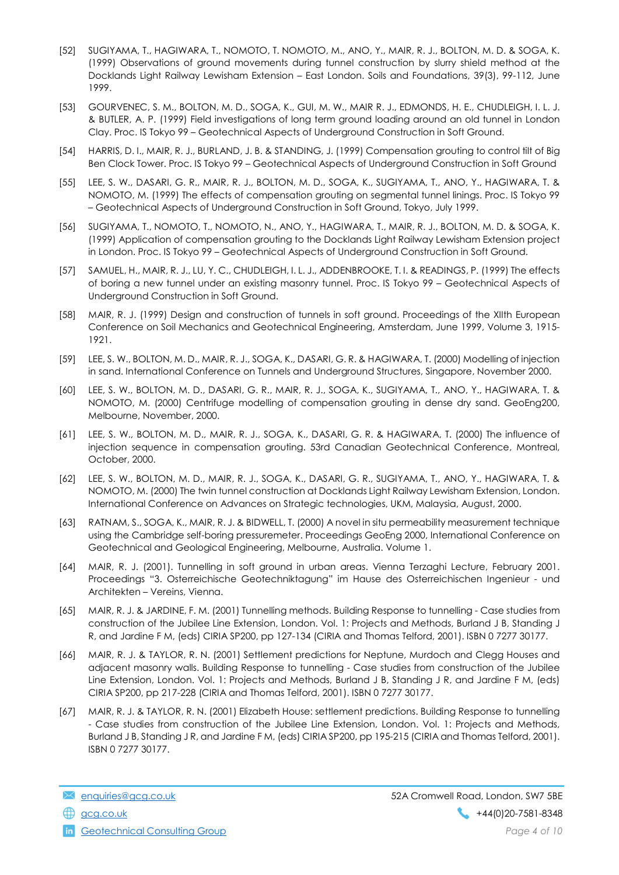- [52] SUGIYAMA, T., HAGIWARA, T., NOMOTO, T. NOMOTO, M., ANO, Y., MAIR, R. J., BOLTON, M. D. & SOGA, K. (1999) Observations of ground movements during tunnel construction by slurry shield method at the Docklands Light Railway Lewisham Extension – East London. Soils and Foundations, 39(3), 99-112, June 1999.
- [53] GOURVENEC, S. M., BOLTON, M. D., SOGA, K., GUI, M. W., MAIR R. J., EDMONDS, H. E., CHUDLEIGH, I. L. J. & BUTLER, A. P. (1999) Field investigations of long term ground loading around an old tunnel in London Clay. Proc. IS Tokyo 99 – Geotechnical Aspects of Underground Construction in Soft Ground.
- [54] HARRIS, D. I., MAIR, R. J., BURLAND, J. B. & STANDING, J. (1999) Compensation grouting to control tilt of Big Ben Clock Tower. Proc. IS Tokyo 99 – Geotechnical Aspects of Underground Construction in Soft Ground
- [55] LEE, S. W., DASARI, G. R., MAIR, R. J., BOLTON, M. D., SOGA, K., SUGIYAMA, T., ANO, Y., HAGIWARA, T. & NOMOTO, M. (1999) The effects of compensation grouting on segmental tunnel linings. Proc. IS Tokyo 99 – Geotechnical Aspects of Underground Construction in Soft Ground, Tokyo, July 1999.
- [56] SUGIYAMA, T., NOMOTO, T., NOMOTO, N., ANO, Y., HAGIWARA, T., MAIR, R. J., BOLTON, M. D. & SOGA, K. (1999) Application of compensation grouting to the Docklands Light Railway Lewisham Extension project in London. Proc. IS Tokyo 99 – Geotechnical Aspects of Underground Construction in Soft Ground.
- [57] SAMUEL, H., MAIR, R. J., LU, Y. C., CHUDLEIGH, I. L. J., ADDENBROOKE, T. I. & READINGS, P. (1999) The effects of boring a new tunnel under an existing masonry tunnel. Proc. IS Tokyo 99 – Geotechnical Aspects of Underground Construction in Soft Ground.
- [58] MAIR, R. J. (1999) Design and construction of tunnels in soft ground. Proceedings of the XIIth European Conference on Soil Mechanics and Geotechnical Engineering, Amsterdam, June 1999, Volume 3, 1915- 1921.
- [59] LEE, S. W., BOLTON, M. D., MAIR, R. J., SOGA, K., DASARI, G. R. & HAGIWARA, T. (2000) Modelling of injection in sand. International Conference on Tunnels and Underground Structures, Singapore, November 2000.
- [60] LEE, S. W., BOLTON, M. D., DASARI, G. R., MAIR, R. J., SOGA, K., SUGIYAMA, T., ANO, Y., HAGIWARA, T. & NOMOTO, M. (2000) Centrifuge modelling of compensation grouting in dense dry sand. GeoEng200, Melbourne, November, 2000.
- [61] LEE, S. W., BOLTON, M. D., MAIR, R. J., SOGA, K., DASARI, G. R. & HAGIWARA, T. (2000) The influence of injection sequence in compensation grouting. 53rd Canadian Geotechnical Conference, Montreal, October, 2000.
- [62] LEE, S. W., BOLTON, M. D., MAIR, R. J., SOGA, K., DASARI, G. R., SUGIYAMA, T., ANO, Y., HAGIWARA, T. & NOMOTO, M. (2000) The twin tunnel construction at Docklands Light Railway Lewisham Extension, London. International Conference on Advances on Strategic technologies, UKM, Malaysia, August, 2000.
- [63] RATNAM, S., SOGA, K., MAIR, R. J. & BIDWELL, T. (2000) A novel in situ permeability measurement technique using the Cambridge self-boring pressuremeter. Proceedings GeoEng 2000, International Conference on Geotechnical and Geological Engineering, Melbourne, Australia. Volume 1.
- [64] MAIR, R. J. (2001). Tunnelling in soft ground in urban areas. Vienna Terzaghi Lecture, February 2001. Proceedings "3. Osterreichische Geotechniktagung" im Hause des Osterreichischen Ingenieur - und Architekten – Vereins, Vienna.
- [65] MAIR, R. J. & JARDINE, F. M. (2001) Tunnelling methods. Building Response to tunnelling Case studies from construction of the Jubilee Line Extension, London. Vol. 1: Projects and Methods, Burland J B, Standing J R, and Jardine F M, (eds) CIRIA SP200, pp 127-134 (CIRIA and Thomas Telford, 2001). ISBN 0 7277 30177.
- [66] MAIR, R. J. & TAYLOR, R. N. (2001) Settlement predictions for Neptune, Murdoch and Clegg Houses and adjacent masonry walls. Building Response to tunnelling - Case studies from construction of the Jubilee Line Extension, London. Vol. 1: Projects and Methods, Burland J B, Standing J R, and Jardine F M, (eds) CIRIA SP200, pp 217-228 (CIRIA and Thomas Telford, 2001). ISBN 0 7277 30177.
- [67] MAIR, R. J. & TAYLOR, R. N. (2001) Elizabeth House: settlement predictions. Building Response to tunnelling - Case studies from construction of the Jubilee Line Extension, London. Vol. 1: Projects and Methods, Burland J B, Standing J R, and Jardine F M, (eds) CIRIA SP200, pp 195-215 (CIRIA and Thomas Telford, 2001). ISBN 0 7277 30177.

Geotechnical Consulting Group **Consulting Group Consulting Group** Page 4 of 10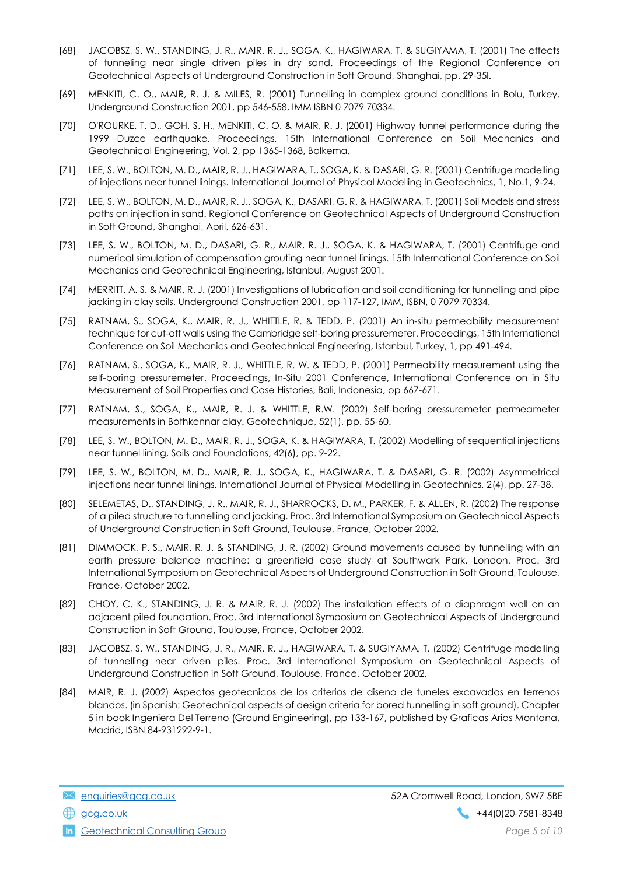- [68] JACOBSZ, S. W., STANDING, J. R., MAIR, R. J., SOGA, K., HAGIWARA, T. & SUGIYAMA, T. (2001) The effects of tunneling near single driven piles in dry sand. Proceedings of the Regional Conference on Geotechnical Aspects of Underground Construction in Soft Ground, Shanghai, pp. 29-35l.
- [69] MENKITI, C. O., MAIR, R. J. & MILES, R. (2001) Tunnelling in complex ground conditions in Bolu, Turkey. Underground Construction 2001, pp 546-558, IMM ISBN 0 7079 70334.
- [70] O'ROURKE, T. D., GOH, S. H., MENKITI, C. O. & MAIR, R. J. (2001) Highway tunnel performance during the 1999 Duzce earthquake. Proceedings, 15th International Conference on Soil Mechanics and Geotechnical Engineering, Vol. 2, pp 1365-1368, Balkema.
- [71] LEE, S. W., BOLTON, M. D., MAIR, R. J., HAGIWARA, T., SOGA, K. & DASARI, G. R. (2001) Centrifuge modelling of injections near tunnel linings. International Journal of Physical Modelling in Geotechnics, 1, No.1, 9-24.
- [72] LEE, S. W., BOLTON, M. D., MAIR, R. J., SOGA, K., DASARI, G. R. & HAGIWARA, T. (2001) Soil Models and stress paths on injection in sand. Regional Conference on Geotechnical Aspects of Underground Construction in Soft Ground, Shanghai, April, 626-631.
- [73] LEE, S. W., BOLTON, M. D., DASARI, G. R., MAIR, R. J., SOGA, K. & HAGIWARA, T. (2001) Centrifuge and numerical simulation of compensation grouting near tunnel linings. 15th International Conference on Soil Mechanics and Geotechnical Engineering, Istanbul, August 2001.
- [74] MERRITT, A. S. & MAIR, R. J. (2001) Investigations of lubrication and soil conditioning for tunnelling and pipe jacking in clay soils. Underground Construction 2001, pp 117-127, IMM, ISBN, 0 7079 70334.
- [75] RATNAM, S., SOGA, K., MAIR, R. J., WHITTLE, R. & TEDD, P. (2001) An in-situ permeability measurement technique for cut-off walls using the Cambridge self-boring pressuremeter. Proceedings, 15th International Conference on Soil Mechanics and Geotechnical Engineering, Istanbul, Turkey, 1, pp 491-494.
- [76] RATNAM, S., SOGA, K., MAIR, R. J., WHITTLE, R. W. & TEDD, P. (2001) Permeability measurement using the self-boring pressuremeter. Proceedings, In-Situ 2001 Conference, International Conference on in Situ Measurement of Soil Properties and Case Histories, Bali, Indonesia, pp 667-671.
- [77] RATNAM, S., SOGA, K., MAIR, R. J. & WHITTLE, R.W. (2002) Self-boring pressuremeter permeameter measurements in Bothkennar clay. Geotechnique, 52(1), pp. 55-60.
- [78] LEE, S. W., BOLTON, M. D., MAIR, R. J., SOGA, K. & HAGIWARA, T. (2002) Modelling of sequential injections near tunnel lining, Soils and Foundations, 42(6), pp. 9-22.
- [79] LEE, S. W., BOLTON, M. D., MAIR, R. J., SOGA, K., HAGIWARA, T. & DASARI, G. R. (2002) Asymmetrical injections near tunnel linings. International Journal of Physical Modelling in Geotechnics, 2(4), pp. 27-38.
- [80] SELEMETAS, D., STANDING, J. R., MAIR, R. J., SHARROCKS, D. M., PARKER, F. & ALLEN, R. (2002) The response of a piled structure to tunnelling and jacking. Proc. 3rd International Symposium on Geotechnical Aspects of Underground Construction in Soft Ground, Toulouse, France, October 2002.
- [81] DIMMOCK, P. S., MAIR, R. J. & STANDING, J. R. (2002) Ground movements caused by tunnelling with an earth pressure balance machine: a greenfield case study at Southwark Park, London. Proc. 3rd International Symposium on Geotechnical Aspects of Underground Construction in Soft Ground, Toulouse, France, October 2002.
- [82] CHOY, C. K., STANDING, J. R. & MAIR, R. J. (2002) The installation effects of a diaphragm wall on an adjacent piled foundation. Proc. 3rd International Symposium on Geotechnical Aspects of Underground Construction in Soft Ground, Toulouse, France, October 2002.
- [83] JACOBSZ, S. W., STANDING, J. R., MAIR, R. J., HAGIWARA, T. & SUGIYAMA, T. (2002) Centrifuge modelling of tunnelling near driven piles. Proc. 3rd International Symposium on Geotechnical Aspects of Underground Construction in Soft Ground, Toulouse, France, October 2002.
- [84] MAIR, R. J. (2002) Aspectos geotecnicos de los criterios de diseno de tuneles excavados en terrenos blandos. (in Spanish: Geotechnical aspects of design criteria for bored tunnelling in soft ground). Chapter 5 in book Ingeniera Del Terreno (Ground Engineering), pp 133-167, published by Graficas Arias Montana, Madrid, ISBN 84-931292-9-1.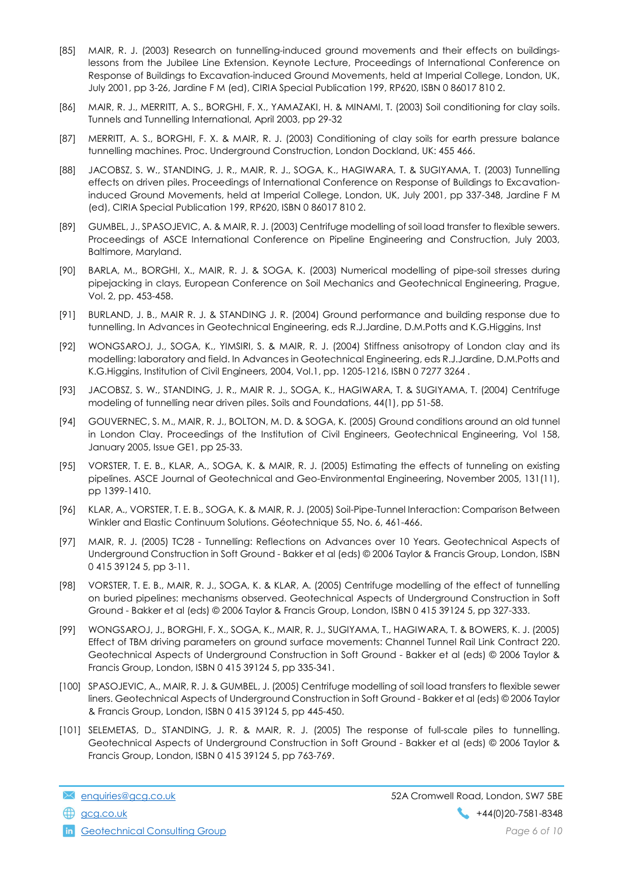- [85] MAIR, R. J. (2003) Research on tunnelling-induced ground movements and their effects on buildingslessons from the Jubilee Line Extension. Keynote Lecture, Proceedings of International Conference on Response of Buildings to Excavation-induced Ground Movements, held at Imperial College, London, UK, July 2001, pp 3-26, Jardine F M (ed), CIRIA Special Publication 199, RP620, ISBN 0 86017 810 2.
- [86] MAIR, R. J., MERRITT, A. S., BORGHI, F. X., YAMAZAKI, H. & MINAMI, T. (2003) Soil conditioning for clay soils. Tunnels and Tunnelling International, April 2003, pp 29-32
- [87] MERRITT, A. S., BORGHI, F. X. & MAIR, R. J. (2003) Conditioning of clay soils for earth pressure balance tunnelling machines. Proc. Underground Construction, London Dockland, UK: 455 466.
- [88] JACOBSZ, S. W., STANDING, J. R., MAIR, R. J., SOGA, K., HAGIWARA, T. & SUGIYAMA, T. (2003) Tunnelling effects on driven piles. Proceedings of International Conference on Response of Buildings to Excavationinduced Ground Movements, held at Imperial College, London, UK, July 2001, pp 337-348, Jardine F M (ed), CIRIA Special Publication 199, RP620, ISBN 0 86017 810 2.
- [89] GUMBEL, J., SPASOJEVIC, A. & MAIR, R. J. (2003) Centrifuge modelling of soil load transfer to flexible sewers. Proceedings of ASCE International Conference on Pipeline Engineering and Construction, July 2003, Baltimore, Maryland.
- [90] BARLA, M., BORGHI, X., MAIR, R. J. & SOGA, K. (2003) Numerical modelling of pipe-soil stresses during pipejacking in clays, European Conference on Soil Mechanics and Geotechnical Engineering, Prague, Vol. 2, pp. 453-458.
- [91] BURLAND, J. B., MAIR R. J. & STANDING J. R. (2004) Ground performance and building response due to tunnelling. In Advances in Geotechnical Engineering, eds R.J.Jardine, D.M.Potts and K.G.Higgins, Inst
- [92] WONGSAROJ, J., SOGA, K., YIMSIRI, S. & MAIR, R. J. (2004) Stiffness anisotropy of London clay and its modelling: laboratory and field. In Advances in Geotechnical Engineering, eds R.J.Jardine, D.M.Potts and K.G.Higgins, Institution of Civil Engineers, 2004, Vol.1, pp. 1205-1216, ISBN 0 7277 3264 .
- [93] JACOBSZ, S. W., STANDING, J. R., MAIR R. J., SOGA, K., HAGIWARA, T. & SUGIYAMA, T. (2004) Centrifuge modeling of tunnelling near driven piles. Soils and Foundations, 44(1), pp 51-58.
- [94] GOUVERNEC, S. M., MAIR, R. J., BOLTON, M. D. & SOGA, K. (2005) Ground conditions around an old tunnel in London Clay. Proceedings of the Institution of Civil Engineers, Geotechnical Engineering, Vol 158, January 2005, Issue GE1, pp 25-33.
- [95] VORSTER, T. E. B., KLAR, A., SOGA, K. & MAIR, R. J. (2005) Estimating the effects of tunneling on existing pipelines. ASCE Journal of Geotechnical and Geo-Environmental Engineering, November 2005, 131(11), pp 1399-1410.
- [96] KLAR, A., VORSTER, T. E. B., SOGA, K. & MAIR, R. J. (2005) Soil-Pipe-Tunnel Interaction: Comparison Between Winkler and Elastic Continuum Solutions. Géotechnique 55, No. 6, 461-466.
- [97] MAIR, R. J. (2005) TC28 Tunnelling: Reflections on Advances over 10 Years. Geotechnical Aspects of Underground Construction in Soft Ground - Bakker et al (eds) © 2006 Taylor & Francis Group, London, ISBN 0 415 39124 5, pp 3-11.
- [98] VORSTER, T. E. B., MAIR, R. J., SOGA, K. & KLAR, A. (2005) Centrifuge modelling of the effect of tunnelling on buried pipelines: mechanisms observed. Geotechnical Aspects of Underground Construction in Soft Ground - Bakker et al (eds) © 2006 Taylor & Francis Group, London, ISBN 0 415 39124 5, pp 327-333.
- [99] WONGSAROJ, J., BORGHI, F. X., SOGA, K., MAIR, R. J., SUGIYAMA, T., HAGIWARA, T. & BOWERS, K. J. (2005) Effect of TBM driving parameters on ground surface movements: Channel Tunnel Rail Link Contract 220. Geotechnical Aspects of Underground Construction in Soft Ground - Bakker et al (eds) © 2006 Taylor & Francis Group, London, ISBN 0 415 39124 5, pp 335-341.
- [100] SPASOJEVIC, A., MAIR, R. J. & GUMBEL, J. (2005) Centrifuge modelling of soil load transfers to flexible sewer liners. Geotechnical Aspects of Underground Construction in Soft Ground - Bakker et al (eds) © 2006 Taylor & Francis Group, London, ISBN 0 415 39124 5, pp 445-450.
- [101] SELEMETAS, D., STANDING, J. R. & MAIR, R. J. (2005) The response of full-scale piles to tunnelling. Geotechnical Aspects of Underground Construction in Soft Ground - Bakker et al (eds) © 2006 Taylor & Francis Group, London, ISBN 0 415 39124 5, pp 763-769.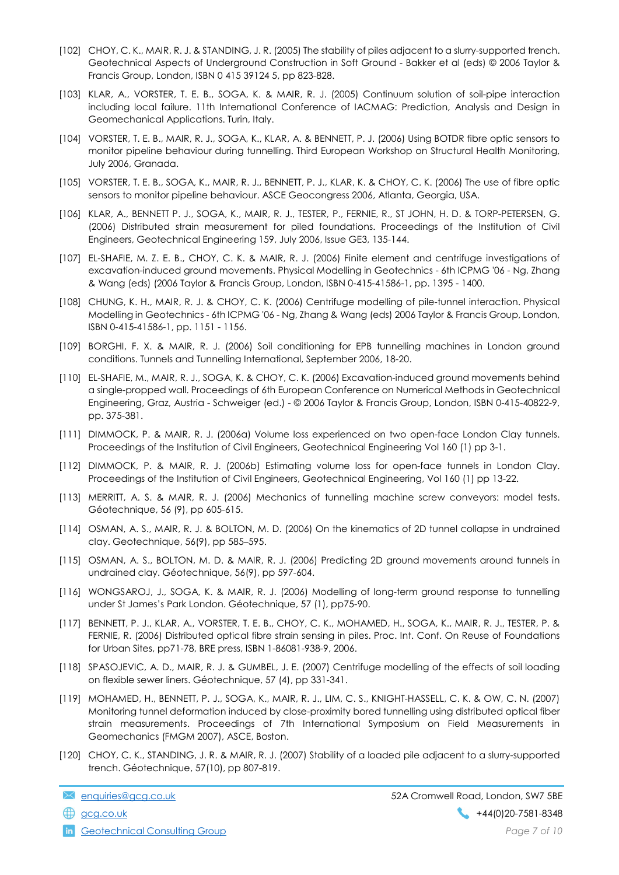- [102] CHOY, C. K., MAIR, R. J. & STANDING, J. R. (2005) The stability of piles adjacent to a slurry-supported trench. Geotechnical Aspects of Underground Construction in Soft Ground - Bakker et al (eds) © 2006 Taylor & Francis Group, London, ISBN 0 415 39124 5, pp 823-828.
- [103] KLAR, A., VORSTER, T. E. B., SOGA, K. & MAIR, R. J. (2005) Continuum solution of soil-pipe interaction including local failure. 11th International Conference of IACMAG: Prediction, Analysis and Design in Geomechanical Applications. Turin, Italy.
- [104] VORSTER, T. E. B., MAIR, R. J., SOGA, K., KLAR, A. & BENNETT, P. J. (2006) Using BOTDR fibre optic sensors to monitor pipeline behaviour during tunnelling. Third European Workshop on Structural Health Monitoring, July 2006, Granada.
- [105] VORSTER, T. E. B., SOGA, K., MAIR, R. J., BENNETT, P. J., KLAR, K. & CHOY, C. K. (2006) The use of fibre optic sensors to monitor pipeline behaviour. ASCE Geocongress 2006, Atlanta, Georgia, USA.
- [106] KLAR, A., BENNETT P. J., SOGA, K., MAIR, R. J., TESTER, P., FERNIE, R., ST JOHN, H. D. & TORP-PETERSEN, G. (2006) Distributed strain measurement for piled foundations. Proceedings of the Institution of Civil Engineers, Geotechnical Engineering 159, July 2006, Issue GE3, 135-144.
- [107] EL-SHAFIE, M. Z. E. B., CHOY, C. K. & MAIR, R. J. (2006) Finite element and centrifuge investigations of excavation-induced ground movements. Physical Modelling in Geotechnics - 6th ICPMG '06 - Ng, Zhang & Wang (eds) (2006 Taylor & Francis Group, London, ISBN 0-415-41586-1, pp. 1395 - 1400.
- [108] CHUNG, K. H., MAIR, R. J. & CHOY, C. K. (2006) Centrifuge modelling of pile-tunnel interaction. Physical Modelling in Geotechnics - 6th ICPMG '06 - Ng, Zhang & Wang (eds) 2006 Taylor & Francis Group, London, ISBN 0-415-41586-1, pp. 1151 - 1156.
- [109] BORGHI, F. X. & MAIR, R. J. (2006) Soil conditioning for EPB tunnelling machines in London ground conditions. Tunnels and Tunnelling International, September 2006, 18-20.
- [110] EL-SHAFIE, M., MAIR, R. J., SOGA, K. & CHOY, C. K. (2006) Excavation-induced ground movements behind a single-propped wall. Proceedings of 6th European Conference on Numerical Methods in Geotechnical Engineering, Graz, Austria - Schweiger (ed.) - © 2006 Taylor & Francis Group, London, ISBN 0-415-40822-9, pp. 375-381.
- [111] DIMMOCK, P. & MAIR, R. J. (2006a) Volume loss experienced on two open-face London Clay tunnels. Proceedings of the Institution of Civil Engineers, Geotechnical Engineering Vol 160 (1) pp 3-1.
- [112] DIMMOCK, P. & MAIR, R. J. (2006b) Estimating volume loss for open-face tunnels in London Clay. Proceedings of the Institution of Civil Engineers, Geotechnical Engineering, Vol 160 (1) pp 13-22.
- [113] MERRITT, A. S. & MAIR, R. J. (2006) Mechanics of tunnelling machine screw conveyors: model tests. Géotechnique, 56 (9), pp 605-615.
- [114] OSMAN, A. S., MAIR, R. J. & BOLTON, M. D. (2006) On the kinematics of 2D tunnel collapse in undrained clay. Geotechnique, 56(9), pp 585–595.
- [115] OSMAN, A. S., BOLTON, M. D. & MAIR, R. J. (2006) Predicting 2D ground movements around tunnels in undrained clay. Géotechnique, 56(9), pp 597-604.
- [116] WONGSAROJ, J., SOGA, K. & MAIR, R. J. (2006) Modelling of long-term ground response to tunnelling under St James's Park London. Géotechnique, 57 (1), pp75-90.
- [117] BENNETT, P. J., KLAR, A., VORSTER, T. E. B., CHOY, C. K., MOHAMED, H., SOGA, K., MAIR, R. J., TESTER, P. & FERNIE, R. (2006) Distributed optical fibre strain sensing in piles. Proc. Int. Conf. On Reuse of Foundations for Urban Sites, pp71-78, BRE press, ISBN 1-86081-938-9, 2006.
- [118] SPASOJEVIC, A. D., MAIR, R. J. & GUMBEL, J. E. (2007) Centrifuge modelling of the effects of soil loading on flexible sewer liners. Géotechnique, 57 (4), pp 331-341.
- [119] MOHAMED, H., BENNETT, P. J., SOGA, K., MAIR, R. J., LIM, C. S., KNIGHT-HASSELL, C. K. & OW, C. N. (2007) Monitoring tunnel deformation induced by close-proximity bored tunnelling using distributed optical fiber strain measurements. Proceedings of 7th International Symposium on Field Measurements in Geomechanics (FMGM 2007), ASCE, Boston.
- [120] CHOY, C. K., STANDING, J. R. & MAIR, R. J. (2007) Stability of a loaded pile adjacent to a slurry-supported trench. Géotechnique, 57(10), pp 807-819.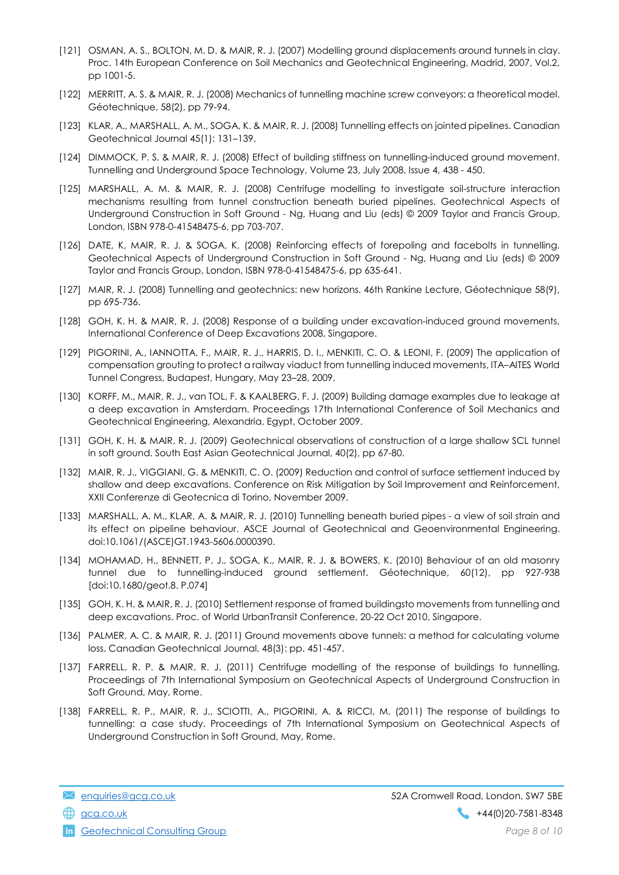- [121] OSMAN, A. S., BOLTON, M. D. & MAIR, R. J. (2007) Modelling ground displacements around tunnels in clay. Proc. 14th European Conference on Soil Mechanics and Geotechnical Engineering, Madrid, 2007, Vol.2, pp 1001-5.
- [122] MERRITT, A. S. & MAIR, R. J. (2008) Mechanics of tunnelling machine screw conveyors: a theoretical model. Géotechnique, 58(2), pp 79-94.
- [123] KLAR, A., MARSHALL, A. M., SOGA, K. & MAIR, R. J. (2008) Tunnelling effects on jointed pipelines. Canadian Geotechnical Journal 45(1): 131–139.
- [124] DIMMOCK, P. S. & MAIR, R. J. (2008) Effect of building stiffness on tunnelling-induced ground movement. Tunnelling and Underground Space Technology, Volume 23, July 2008, Issue 4, 438 - 450.
- [125] MARSHALL, A. M. & MAIR, R. J. (2008) Centrifuge modelling to investigate soil-structure interaction mechanisms resulting from tunnel construction beneath buried pipelines. Geotechnical Aspects of Underground Construction in Soft Ground - Ng, Huang and Liu (eds) © 2009 Taylor and Francis Group, London, ISBN 978-0-41548475-6, pp 703-707.
- [126] DATE, K, MAIR, R. J. & SOGA, K. (2008) Reinforcing effects of forepoling and facebolts in tunnelling. Geotechnical Aspects of Underground Construction in Soft Ground - Ng, Huang and Liu (eds) © 2009 Taylor and Francis Group, London, ISBN 978-0-41548475-6, pp 635-641.
- [127] MAIR, R. J. (2008) Tunnelling and geotechnics: new horizons. 46th Rankine Lecture, Géotechnique 58(9), pp 695-736.
- [128] GOH, K. H. & MAIR, R. J. (2008) Response of a building under excavation-induced ground movements, International Conference of Deep Excavations 2008, Singapore.
- [129] PIGORINI, A., IANNOTTA, F., MAIR, R. J., HARRIS, D. I., MENKITI, C. O. & LEONI, F. (2009) The application of compensation grouting to protect a railway viaduct from tunnelling induced movements, ITA–AITES World Tunnel Congress, Budapest, Hungary, May 23–28, 2009.
- [130] KORFF, M., MAIR, R. J., van TOL, F. & KAALBERG, F. J. (2009) Building damage examples due to leakage at a deep excavation in Amsterdam. Proceedings 17th International Conference of Soil Mechanics and Geotechnical Engineering, Alexandria, Egypt, October 2009.
- [131] GOH, K. H. & MAIR, R. J. (2009) Geotechnical observations of construction of a large shallow SCL tunnel in soft ground. South East Asian Geotechnical Journal, 40(2), pp 67-80.
- [132] MAIR, R. J., VIGGIANI, G. & MENKITI, C. O. (2009) Reduction and control of surface settlement induced by shallow and deep excavations. Conference on Risk Mitigation by Soil Improvement and Reinforcement, XXII Conferenze di Geotecnica di Torino, November 2009.
- [133] MARSHALL, A. M., KLAR, A. & MAIR, R. J. (2010) Tunnelling beneath buried pipes a view of soil strain and its effect on pipeline behaviour. ASCE Journal of Geotechnical and Geoenvironmental Engineering. doi:10.1061/(ASCE)GT.1943-5606.0000390.
- [134] MOHAMAD, H., BENNETT, P. J., SOGA, K., MAIR, R. J. & BOWERS, K. (2010) Behaviour of an old masonry tunnel due to tunnelling-induced ground settlement. Géotechnique, 60(12), pp 927-938 [doi:10.1680/geot.8. P.074]
- [135] GOH, K. H. & MAIR, R. J. (2010) Settlement response of framed buildingsto movements from tunnelling and deep excavations. Proc. of World UrbanTransit Conference, 20-22 Oct 2010, Singapore.
- [136] PALMER, A. C. & MAIR, R. J. (2011) Ground movements above tunnels: a method for calculating volume loss. Canadian Geotechnical Journal, 48(3): pp. 451-457.
- [137] FARRELL, R. P. & MAIR, R. J. (2011) Centrifuge modelling of the response of buildings to tunnelling. Proceedings of 7th International Symposium on Geotechnical Aspects of Underground Construction in Soft Ground, May, Rome.
- [138] FARRELL, R. P., MAIR, R. J., SCIOTTI, A., PIGORINI, A. & RICCI, M. (2011) The response of buildings to tunnelling: a case study. Proceedings of 7th International Symposium on Geotechnical Aspects of Underground Construction in Soft Ground, May, Rome.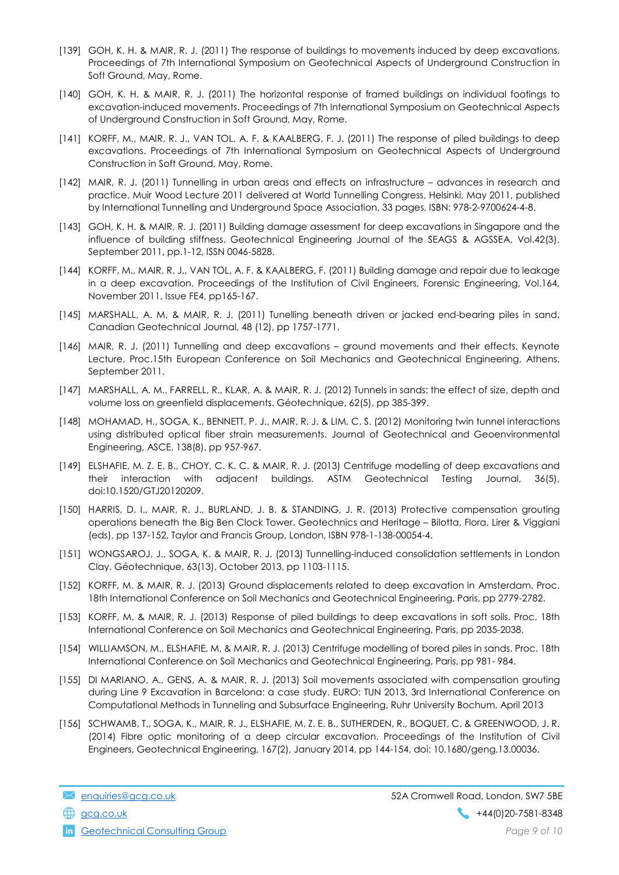- [139] GOH, K. H. & MAIR, R. J. (2011) The response of buildings to movements induced by deep excavations. Proceedings of 7th International Symposium on Geotechnical Aspects of Underground Construction in Soft Ground, May, Rome.
- [140] GOH, K. H. & MAIR, R. J. (2011) The horizontal response of framed buildings on individual footings to excavation-induced movements. Proceedings of 7th International Symposium on Geotechnical Aspects of Underground Construction in Soft Ground, May, Rome.
- [141] KORFF, M., MAIR, R. J., VAN TOL, A. F. & KAALBERG, F. J. (2011) The response of piled buildings to deep excavations. Proceedings of 7th International Symposium on Geotechnical Aspects of Underground Construction in Soft Ground, May, Rome.
- [142] MAIR, R. J. (2011) Tunnelling in urban areas and effects on infrastructure advances in research and practice. Muir Wood Lecture 2011 delivered at World Tunnelling Congress, Helsinki, May 2011, published by International Tunnelling and Underground Space Association, 33 pages, ISBN: 978-2-9700624-4-8.
- [143] GOH, K. H. & MAIR, R. J. (2011) Building damage assessment for deep excavations in Singapore and the influence of building stiffness. Geotechnical Engineering Journal of the SEAGS & AGSSEA, Vol.42(3), September 2011, pp.1-12, ISSN 0046-5828.
- [144] KORFF, M., MAIR, R. J., VAN TOL, A. F. & KAALBERG, F. (2011) Building damage and repair due to leakage in a deep excavation. Proceedings of the Institution of Civil Engineers, Forensic Engineering, Vol.164, November 2011, Issue FE4, pp165-167.
- [145] MARSHALL, A. M. & MAIR, R. J. (2011) Tunelling beneath driven or jacked end-bearing piles in sand. Canadian Geotechnical Journal, 48 (12), pp 1757-1771.
- [146] MAIR, R. J. (2011) Tunnelling and deep excavations ground movements and their effects. Keynote Lecture, Proc.15th European Conference on Soil Mechanics and Geotechnical Engineering, Athens, September 2011.
- [147] MARSHALL, A. M., FARRELL, R., KLAR, A. & MAIR, R. J. (2012) Tunnels in sands: the effect of size, depth and volume loss on greenfield displacements. Géotechnique, 62(5), pp 385-399.
- [148] MOHAMAD, H., SOGA, K., BENNETT, P. J., MAIR, R. J. & LIM, C. S. (2012) Monitoring twin tunnel interactions using distributed optical fiber strain measurements. Journal of Geotechnical and Geoenvironmental Engineering, ASCE, 138(8), pp 957-967.
- [149] ELSHAFIE, M. Z. E. B., CHOY, C. K. C. & MAIR, R. J. (2013) Centrifuge modelling of deep excavations and their interaction with adjacent buildings. ASTM Geotechnical Testing Journal, 36(5), doi:10.1520/GTJ20120209.
- [150] HARRIS, D. I., MAIR, R. J., BURLAND, J. B. & STANDING, J. R. (2013) Protective compensation grouting operations beneath the Big Ben Clock Tower. Geotechnics and Heritage – Bilotta, Flora, Lirer & Viggiani (eds), pp 137-152, Taylor and Francis Group, London, ISBN 978-1-138-00054-4.
- [151] WONGSAROJ, J., SOGA, K. & MAIR, R. J. (2013) Tunnelling-induced consolidation settlements in London Clay. Géotechnique, 63(13), October 2013, pp 1103-1115.
- [152] KORFF, M. & MAIR, R. J. (2013) Ground displacements related to deep excavation in Amsterdam. Proc. 18th International Conference on Soil Mechanics and Geotechnical Engineering, Paris, pp 2779-2782.
- [153] KORFF, M. & MAIR, R. J. (2013) Response of piled buildings to deep excavations in soft soils. Proc. 18th International Conference on Soil Mechanics and Geotechnical Engineering, Paris, pp 2035-2038.
- [154] WILLIAMSON, M., ELSHAFIE, M. & MAIR, R. J. (2013) Centrifuge modelling of bored piles in sands. Proc. 18th International Conference on Soil Mechanics and Geotechnical Engineering, Paris, pp 981- 984.
- [155] DI MARIANO, A., GENS, A. & MAIR, R. J. (2013) Soil movements associated with compensation grouting during Line 9 Excavation in Barcelona: a case study. EURO: TUN 2013, 3rd International Conference on Computational Methods in Tunneling and Subsurface Engineering, Ruhr University Bochum, April 2013
- [156] SCHWAMB, T., SOGA, K., MAIR, R. J., ELSHAFIE, M. Z. E. B., SUTHERDEN, R., BOQUET, C. & GREENWOOD, J. R. (2014) Fibre optic monitoring of a deep circular excavation. Proceedings of the Institution of Civil Engineers, Geotechnical Engineering, 167(2), January 2014, pp 144-154, doi: 10.1680/geng.13.00036.